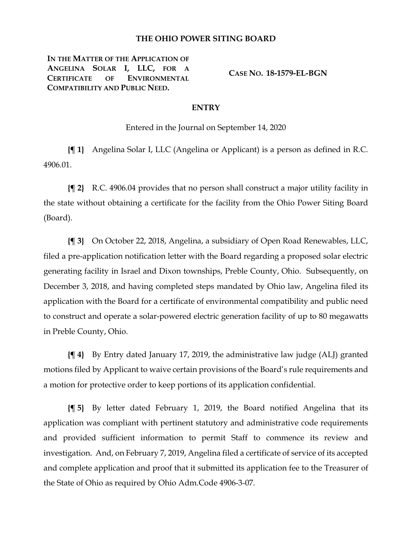## **THE OHIO POWER SITING BOARD**

**IN THE MATTER OF THE APPLICATION OF ANGELINA SOLAR I, LLC, FOR A CERTIFICATE OF ENVIRONMENTAL COMPATIBILITY AND PUBLIC NEED.**

**CASE NO. 18-1579-EL-BGN**

## **ENTRY**

Entered in the Journal on September 14, 2020

**{¶ 1}** Angelina Solar I, LLC (Angelina or Applicant) is a person as defined in R.C. 4906.01.

**{¶ 2}** R.C. 4906.04 provides that no person shall construct a major utility facility in the state without obtaining a certificate for the facility from the Ohio Power Siting Board (Board).

**{¶ 3}** On October 22, 2018, Angelina, a subsidiary of Open Road Renewables, LLC, filed a pre-application notification letter with the Board regarding a proposed solar electric generating facility in Israel and Dixon townships, Preble County, Ohio. Subsequently, on December 3, 2018, and having completed steps mandated by Ohio law, Angelina filed its application with the Board for a certificate of environmental compatibility and public need to construct and operate a solar-powered electric generation facility of up to 80 megawatts in Preble County, Ohio.

**{¶ 4}** By Entry dated January 17, 2019, the administrative law judge (ALJ) granted motions filed by Applicant to waive certain provisions of the Board's rule requirements and a motion for protective order to keep portions of its application confidential.

**{¶ 5}** By letter dated February 1, 2019, the Board notified Angelina that its application was compliant with pertinent statutory and administrative code requirements and provided sufficient information to permit Staff to commence its review and investigation. And, on February 7, 2019, Angelina filed a certificate of service of its accepted and complete application and proof that it submitted its application fee to the Treasurer of the State of Ohio as required by Ohio Adm.Code 4906-3-07.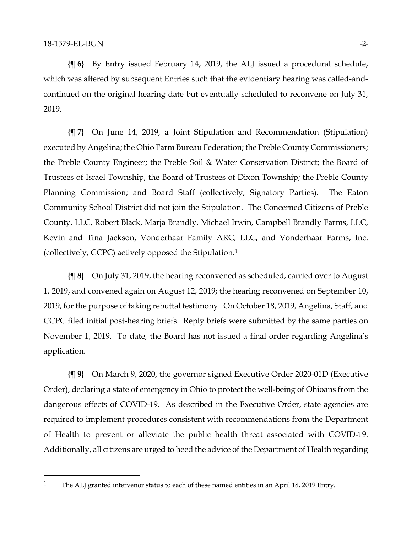**{¶ 6}** By Entry issued February 14, 2019, the ALJ issued a procedural schedule, which was altered by subsequent Entries such that the evidentiary hearing was called-andcontinued on the original hearing date but eventually scheduled to reconvene on July 31, 2019.

**{¶ 7}** On June 14, 2019, a Joint Stipulation and Recommendation (Stipulation) executed by Angelina; the Ohio Farm Bureau Federation; the Preble County Commissioners; the Preble County Engineer; the Preble Soil & Water Conservation District; the Board of Trustees of Israel Township, the Board of Trustees of Dixon Township; the Preble County Planning Commission; and Board Staff (collectively, Signatory Parties). The Eaton Community School District did not join the Stipulation. The Concerned Citizens of Preble County, LLC, Robert Black, Marja Brandly, Michael Irwin, Campbell Brandly Farms, LLC, Kevin and Tina Jackson, Vonderhaar Family ARC, LLC, and Vonderhaar Farms, Inc. (collectively, CCPC) actively opposed the Stipulation.[1](#page-1-0)

**{¶ 8}** On July 31, 2019, the hearing reconvened as scheduled, carried over to August 1, 2019, and convened again on August 12, 2019; the hearing reconvened on September 10, 2019, for the purpose of taking rebuttal testimony. On October 18, 2019, Angelina, Staff, and CCPC filed initial post-hearing briefs. Reply briefs were submitted by the same parties on November 1, 2019. To date, the Board has not issued a final order regarding Angelina's application.

**{¶ 9}** On March 9, 2020, the governor signed Executive Order 2020-01D (Executive Order), declaring a state of emergency in Ohio to protect the well-being of Ohioans from the dangerous effects of COVID-19. As described in the Executive Order, state agencies are required to implement procedures consistent with recommendations from the Department of Health to prevent or alleviate the public health threat associated with COVID-19. Additionally, all citizens are urged to heed the advice of the Department of Health regarding

<span id="page-1-0"></span><sup>&</sup>lt;sup>1</sup> The ALJ granted intervenor status to each of these named entities in an April 18, 2019 Entry.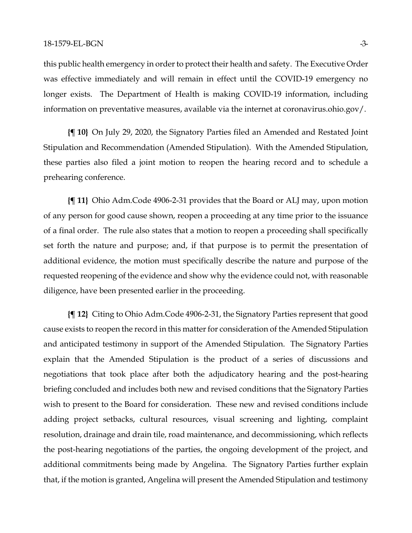this public health emergency in order to protect their health and safety. The Executive Order was effective immediately and will remain in effect until the COVID-19 emergency no longer exists. The Department of Health is making COVID-19 information, including information on preventative measures, available via the internet at coronavirus.ohio.gov/.

**{¶ 10}** On July 29, 2020, the Signatory Parties filed an Amended and Restated Joint Stipulation and Recommendation (Amended Stipulation). With the Amended Stipulation, these parties also filed a joint motion to reopen the hearing record and to schedule a prehearing conference.

**{¶ 11}** Ohio Adm.Code 4906-2-31 provides that the Board or ALJ may, upon motion of any person for good cause shown, reopen a proceeding at any time prior to the issuance of a final order. The rule also states that a motion to reopen a proceeding shall specifically set forth the nature and purpose; and, if that purpose is to permit the presentation of additional evidence, the motion must specifically describe the nature and purpose of the requested reopening of the evidence and show why the evidence could not, with reasonable diligence, have been presented earlier in the proceeding.

**{¶ 12}** Citing to Ohio Adm.Code 4906-2-31, the Signatory Parties represent that good cause exists to reopen the record in this matter for consideration of the Amended Stipulation and anticipated testimony in support of the Amended Stipulation. The Signatory Parties explain that the Amended Stipulation is the product of a series of discussions and negotiations that took place after both the adjudicatory hearing and the post-hearing briefing concluded and includes both new and revised conditions that the Signatory Parties wish to present to the Board for consideration. These new and revised conditions include adding project setbacks, cultural resources, visual screening and lighting, complaint resolution, drainage and drain tile, road maintenance, and decommissioning, which reflects the post-hearing negotiations of the parties, the ongoing development of the project, and additional commitments being made by Angelina. The Signatory Parties further explain that, if the motion is granted, Angelina will present the Amended Stipulation and testimony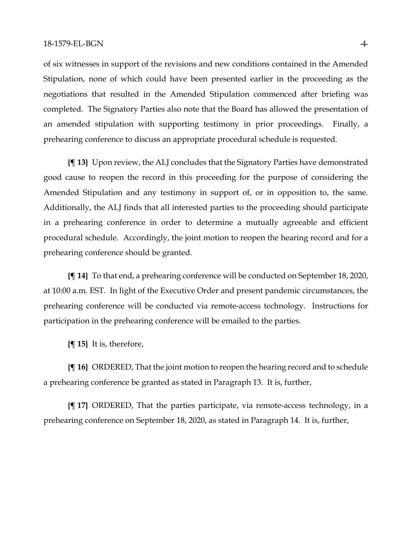of six witnesses in support of the revisions and new conditions contained in the Amended Stipulation, none of which could have been presented earlier in the proceeding as the negotiations that resulted in the Amended Stipulation commenced after briefing was completed. The Signatory Parties also note that the Board has allowed the presentation of an amended stipulation with supporting testimony in prior proceedings. Finally, a prehearing conference to discuss an appropriate procedural schedule is requested.

**{¶ 13}** Upon review, the ALJ concludes that the Signatory Parties have demonstrated good cause to reopen the record in this proceeding for the purpose of considering the Amended Stipulation and any testimony in support of, or in opposition to, the same. Additionally, the ALJ finds that all interested parties to the proceeding should participate in a prehearing conference in order to determine a mutually agreeable and efficient procedural schedule. Accordingly, the joint motion to reopen the hearing record and for a prehearing conference should be granted.

**{¶ 14}** To that end, a prehearing conference will be conducted on September 18, 2020, at 10:00 a.m. EST. In light of the Executive Order and present pandemic circumstances, the prehearing conference will be conducted via remote-access technology. Instructions for participation in the prehearing conference will be emailed to the parties.

**{¶ 15}** It is, therefore,

**{¶ 16}** ORDERED, That the joint motion to reopen the hearing record and to schedule a prehearing conference be granted as stated in Paragraph 13. It is, further,

**{¶ 17}** ORDERED, That the parties participate, via remote-access technology, in a prehearing conference on September 18, 2020, as stated in Paragraph 14. It is, further,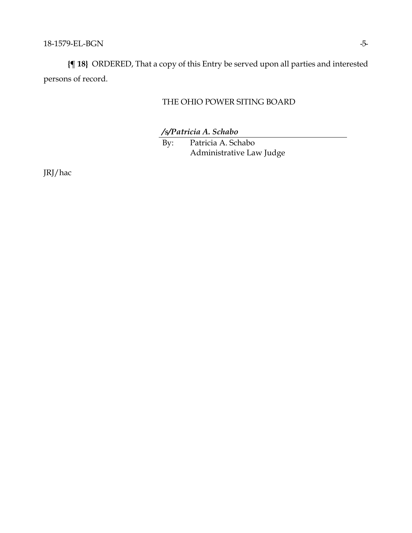**{¶ 18}** ORDERED, That a copy of this Entry be served upon all parties and interested persons of record.

## THE OHIO POWER SITING BOARD

*/s/Patricia A. Schabo*

By: Patricia A. Schabo Administrative Law Judge

JRJ/hac